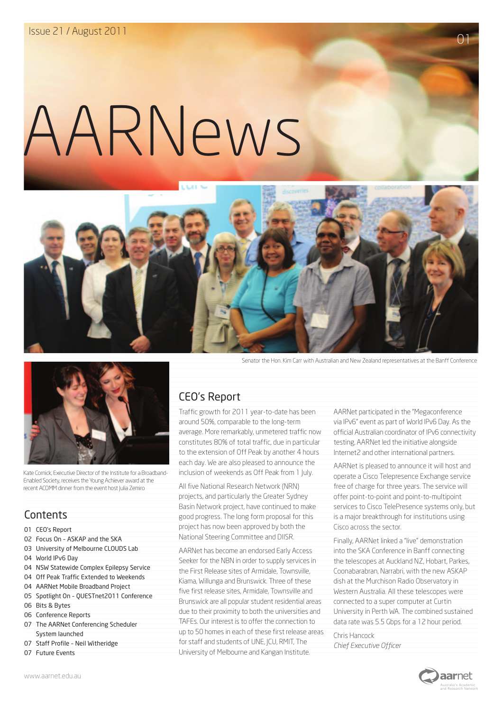# AARNews





Kate Cornick, Executive Director of the Institute for a Broadband-Enabled Society, receives the Young Achiever award at the recent ACOMM dinner from the event host Julia Zemiro

## **Contents**

- 01 CEO's Report
- 02 Focus On ASKAP and the SKA
- 03 University of Melbourne CLOUDS Lab
- 04 World IPv6 Day
- 04 NSW Statewide Complex Epilepsy Service
- 04 Off Peak Traffic Extended to Weekends
- 04 AARNet Mobile Broadband Project
- 05 Spotlight On QUESTnet2011 Conference
- 06 Bits & Bytes
- 06 Conference Reports
- 07 The AARNet Conferencing Scheduler System launched
- 07 Staff Profile Neil Witheridge
- 07 Future Events

Senator the Hon. Kim Carr with Australian and New Zealand representatives at the Banff Conference

## CEO's Report

Traffic growth for 2011 year-to-date has been around 50%, comparable to the long-term average. More remarkably, unmetered traffic now constitutes 80% of total traffic, due in particular to the extension of Off Peak by another 4 hours each day. We are also pleased to announce the inclusion of weekends as Off Peak from 1 July.

All five National Research Network (NRN) projects, and particularly the Greater Sydney Basin Network project, have continued to make good progress. The long form proposal for this project has now been approved by both the National Steering Committee and DIISR.

AARNet has become an endorsed Early Access Seeker for the NBN in order to supply services in the First Release sites of Armidale, Townsville, Kiama, Willunga and Brunswick. Three of these five first release sites, Armidale, Townsville and Brunswick are all popular student residential areas due to their proximity to both the universities and TAFEs. Our interest is to offer the connection to up to 50 homes in each of these first release areas for staff and students of UNE, JCU, RMIT, The University of Melbourne and Kangan Institute.

AARNet participated in the "Megaconference via IPv6" event as part of World IPv6 Day. As the official Australian coordinator of IPv6 connectivity testing, AARNet led the initiative alongside Internet2 and other international partners.

AARNet is pleased to announce it will host and operate a Cisco Telepresence Exchange service free of charge for three years. The service will offer point-to-point and point-to-multipoint services to Cisco TelePresence systems only, but is a major breakthrough for institutions using Cisco across the sector.

Finally, AARNet linked a "live" demonstration into the SKA Conference in Banff connecting the telescopes at Auckland NZ, Hobart, Parkes, Coonabarabran, Narrabri, with the new ASKAP dish at the Murchison Radio Observatory in Western Australia. All these telescopes were connected to a super computer at Curtin University in Perth WA. The combined sustained data rate was 5.5 Gbps for a 12 hour period.

Chris Hancock *Chief Executive Officer*



[www.aarnet.edu.au](http://www.aarnet.edu.au)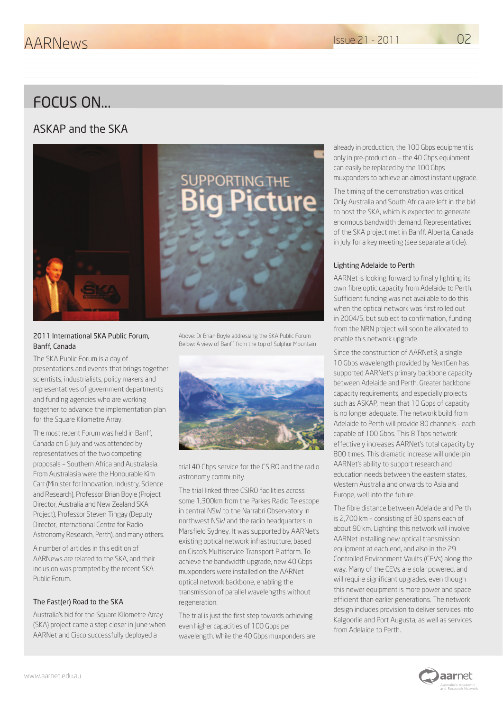## FOCUS ON...

#### ASKAP and the SKA



#### 2011 International SKA Public Forum, Banff, Canada

The SKA Public Forum is a day of presentations and events that brings together scientists, industrialists, policy makers and representatives of government departments and funding agencies who are working together to advance the implementation plan for the Square Kilometre Array.

The most recent Forum was held in Banff, Canada on 6 July and was attended by representatives of the two competing proposals – Southern Africa and Australasia. From Australasia were the Honourable Kim Carr (Minister for Innovation, Industry, Science and Research), Professor Brian Boyle (Project Director, Australia and New Zealand SKA Project), Professor Steven Tingay (Deputy Director, International Centre for Radio Astronomy Research, Perth), and many others.

A number of articles in this edition of AARNews are related to the SKA, and their inclusion was prompted by the recent SKA Public Forum.

#### The Fast(er) Road to the SKA

Australia's bid for the Square Kilometre Array (SKA) project came a step closer in June when AARNet and Cisco successfully deployed a

Above: Dr Brian Boyle addressing the SKA Public Forum Below: A view of Banff from the top of Sulphur Mountain



trial 40 Gbps service for the CSIRO and the radio astronomy community.

The trial linked three CSIRO facilities across some 1,300km from the Parkes Radio Telescope in central NSW to the Narrabri Observatory in northwest NSW and the radio headquarters in Marsfield Sydney. It was supported by AARNet's existing optical network infrastructure, based on Cisco's Multiservice Transport Platform. To achieve the bandwidth upgrade, new 40 Gbps muxponders were installed on the AARNet optical network backbone, enabling the transmission of parallel wavelengths without regeneration.

The trial is just the first step towards achieving even higher capacities of 100 Gbps per wavelength. While the 40 Gbps muxponders are already in production, the 100 Gbps equipment is only in pre-production – the 40 Gbps equipment can easily be replaced by the 100 Gbps muxponders to achieve an almost instant upgrade.

The timing of the demonstration was critical. Only Australia and South Africa are left in the bid to host the SKA, which is expected to generate enormous bandwidth demand. Representatives of the SKA project met in Banff, Alberta, Canada in July for a key meeting (see separate article).

#### Lighting Adelaide to Perth

AARNet is looking forward to finally lighting its own fibre optic capacity from Adelaide to Perth. Sufficient funding was not available to do this when the optical network was first rolled out in 2004/5, but subject to confirmation, funding from the NRN project will soon be allocated to enable this network upgrade.

Since the construction of AARNet3, a single 10 Gbps wavelength provided by NextGen has supported AARNet's primary backbone capacity between Adelaide and Perth. Greater backbone capacity requirements, and especially projects such as ASKAP, mean that 10 Gbps of capacity is no longer adequate. The network build from Adelaide to Perth will provide 80 channels - each capable of 100 Gbps. This 8 Tbps network effectively increases AARNet's total capacity by 800 times. This dramatic increase will underpin AARNet's ability to support research and education needs between the eastern states, Western Australia and onwards to Asia and Europe, well into the future.

The fibre distance between Adelaide and Perth is 2,700 km – consisting of 30 spans each of about 90 km. Lighting this network will involve AARNet installing new optical transmission equipment at each end, and also in the 29 Controlled Environment Vaults (CEVs) along the way. Many of the CEVs are solar powered, and will require significant upgrades, even though this newer equipment is more power and space efficient than earlier generations. The network design includes provision to deliver services into Kalgoorlie and Port Augusta, as well as services from Adelaide to Perth.

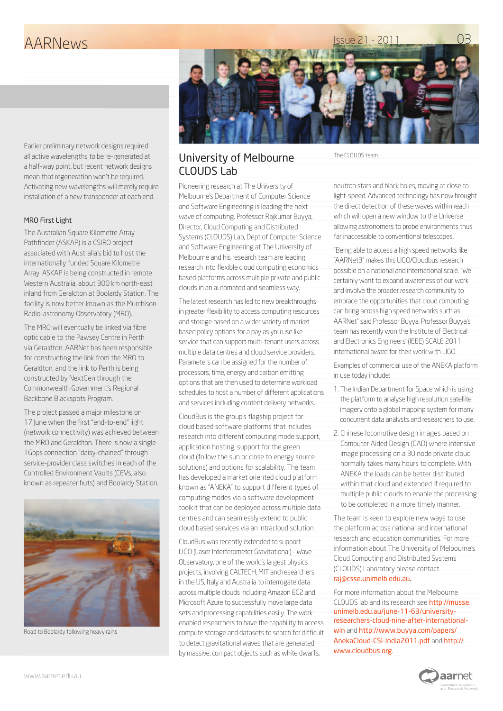# Issue 21 - 2011 AARNews



Earlier preliminary network designs required all active wavelengths to be re-generated at a half-way point, but recent network designs mean that regeneration won't be required. Activating new wavelengths will merely require installation of a new transponder at each end.

#### MRO First Light

The Australian Square Kilometre Array Pathfinder (ASKAP) is a CSIRO project associated with Australia's bid to host the internationally funded Square Kilometre Array. ASKAP is being constructed in remote Western Australia, about 300 km north-east inland from Geraldton at Boolardy Station. The facility is now better known as the Murchison Radio-astronomy Observatory (MRO).

The MRO will eventually be linked via fibre optic cable to the Pawsey Centre in Perth via Geraldton. AARNet has been responsible for constructing the link from the MRO to Geraldton, and the link to Perth is being constructed by NextGen through the Commonwealth Government's Regional Backbone Blackspots Program.

The project passed a major milestone on 17 lune when the first "end-to-end" light (network connectivity) was achieved between the MRO and Geraldton. There is now a single 1Gbps connection "daisy-chained" through service-provider class switches in each of the Controlled Environment Vaults (CEVs, also known as repeater huts) and Boolardy Station.



Road to Boolardy following heavy rains

#### University of Melbourne CLOUDS Lab

Pioneering research at The University of Melbourne's Department of Computer Science and Software Engineering is leading the next wave of computing. Professor Rajkumar Buyya, Director, Cloud Computing and Distributed Systems (CLOUDS) Lab, Dept of Computer Science and Software Engineering at The University of Melbourne and his research team are leading research into flexible cloud computing economics based platforms across multiple private and public clouds in an automated and seamless way.

The latest research has led to new breakthroughs in greater flexibility to access computing resources and storage based on a wider variety of market based policy options for a pay as you use like service that can support multi-tenant users across multiple data centres and cloud service providers. Parameters can be assigned for the number of processors, time, energy and carbon emitting options that are then used to determine workload schedules to host a number of different applications and services including content delivery networks.

CloudBus is the group's flagship project for cloud based software platforms that includes research into different computing mode support, application hosting, support for the green cloud (follow the sun or close to energy source solutions) and options for scalability. The team has developed a market oriented cloud platform known as "ANEKA" to support different types of computing modes via a software development toolkit that can be deployed across multiple data centres and can seamlessly extend to public cloud based services via an intracloud solution.

CloudBus was recently extended to support LIGO (Laser Interferometer Gravitational) - Wave Observatory, one of the world's largest physics projects, involving CALTECH, MIT and researchers in the US, Italy and Australia to interrogate data across multiple clouds including Amazon EC2 and Microsoft Azure to successfully move large data sets and processing capabilities easily. The work enabled researchers to have the capability to access compute storage and datasets to search for difficult to detect gravitational waves that are generated by massive, compact objects such as white dwarfs,

The CLOUDS team

neutron stars and black holes, moving at close to light-speed. Advanced technology has now brought the direct detection of these waves within reach which will open a new window to the Universe allowing astronomers to probe environments thus far inaccessible to conventional telescopes.

"Being able to access a high speed networks like "AARNet3" makes this LIGO/Cloudbus research possible on a national and international scale. "We certainly want to expand awareness of our work and involve the broader research community to embrace the opportunities that cloud computing can bring across high speed networks such as AARNet" said Professor Buyya. Professor Buyya's team has recently won the Institute of Electrical and Electronics Engineers' (IEEE) SCALE 2011 international award for their work with LIGO.

Examples of commercial use of the ANEKA platform in use today include:

- 1. The Indian Department for Space which is using the platform to analyse high resolution satellite imagery onto a global mapping system for many concurrent data analysts and researchers to use.
- 2. Chinese locomotive design images based on Computer Aided Design (CAD) where intensive image processing on a 30 node private cloud normally takes many hours to complete. With ANEKA the loads can be better distributed within that cloud and extended if required to multiple public clouds to enable the processing to be completed in a more timely manner.

The team is keen to explore new ways to use the platform across national and international research and education communities. For more information about The University of Melbourne's Cloud Computing and Distributed Systems (CLOUDS) Laboratory please contact [raj@csse.unimelb.edu.au](mailto:raj@csse.unimelb.edu.au).

For more information about the Melbourne CLOUDS lab and its research see [http://musse.](http://musse.unimelb.edu.au/june-11-63/university-researchers-cloud-nine-after-international-win) [unimelb.edu.au/june-11-63/university](http://musse.unimelb.edu.au/june-11-63/university-researchers-cloud-nine-after-international-win)[researchers-cloud-nine-after-international](http://musse.unimelb.edu.au/june-11-63/university-researchers-cloud-nine-after-international-win)[win](http://musse.unimelb.edu.au/june-11-63/university-researchers-cloud-nine-after-international-win) and [http://www.buyya.com/papers/](http://www.buyya.com/papers/AnekaCloud-CSI-India2011.pdf) [AnekaCloud-CSI-India2011.pdf](http://www.buyya.com/papers/AnekaCloud-CSI-India2011.pdf) and [http://](http://www.cloudbus.org) [www.cloudbus.org](http://www.cloudbus.org).

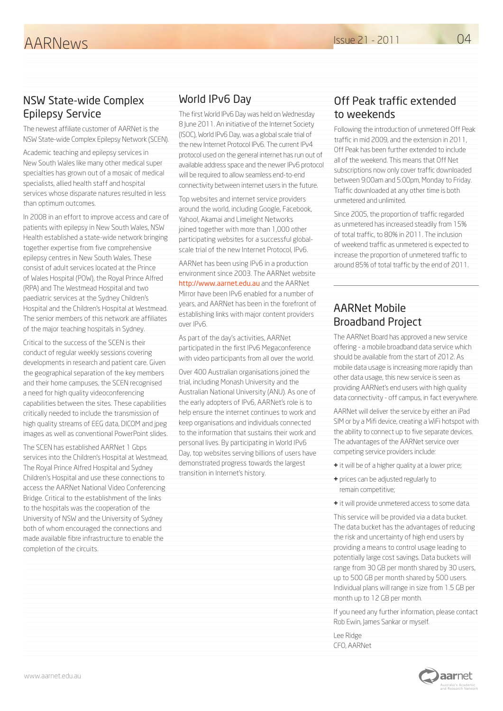#### NSW State-wide Complex Epilepsy Service

The newest affiliate customer of AARNet is the NSW State-wide Complex Epilepsy Network (SCEN).

Academic teaching and epilepsy services in New South Wales like many other medical super specialties has grown out of a mosaic of medical specialists, allied health staff and hospital services whose disparate natures resulted in less than optimum outcomes.

In 2008 in an effort to improve access and care of patients with epilepsy in New South Wales, NSW Health established a state-wide network bringing together expertise from five comprehensive epilepsy centres in New South Wales. These consist of adult services located at the Prince of Wales Hospital (POW), the Royal Prince Alfred (RPA) and The Westmead Hospital and two paediatric services at the Sydney Children's Hospital and the Children's Hospital at Westmead. The senior members of this network are affiliates of the major teaching hospitals in Sydney.

Critical to the success of the SCEN is their conduct of regular weekly sessions covering developments in research and patient care. Given the geographical separation of the key members and their home campuses, the SCEN recognised a need for high quality videoconferencing capabilities between the sites. These capabilities critically needed to include the transmission of high quality streams of EEG data, DICOM and jpeg images as well as conventional PowerPoint slides.

The SCEN has established AARNet 1 Gbps services into the Children's Hospital at Westmead, The Royal Prince Alfred Hospital and Sydney Children's Hospital and use these connections to access the AARNet National Video Conferencing Bridge. Critical to the establishment of the links to the hospitals was the cooperation of the University of NSW and the University of Sydney both of whom encouraged the connections and made available fibre infrastructure to enable the completion of the circuits.

## World IPv6 Day

The first World IPv6 Day was held on Wednesday 8 June 2011. An initiative of the Internet Society (ISOC), World IPv6 Day, was a global scale trial of the new Internet Protocol IPv6. The current IPv4 protocol used on the general internet has run out of available address space and the newer IPv6 protocol will be required to allow seamless end-to-end connectivity between internet users in the future.

Top websites and internet service providers around the world, including Google, Facebook, Yahoo!, Akamai and Limelight Networks joined together with more than 1,000 other participating websites for a successful globalscale trial of the new Internet Protocol, IPv6.

AARNet has been using IPv6 in a production environment since 2003. The AARNet website <http://www.aarnet.edu.au> and the AARNet Mirror have been IPv6 enabled for a number of years, and AARNet has been in the forefront of establishing links with major content providers over IPv6.

As part of the day's activities, AARNet participated in the first IPv6 Megaconference with video participants from all over the world.

Over 400 Australian organisations joined the trial, including Monash University and the Australian National University (ANU). As one of the early adopters of IPv6, AARNet's role is to help ensure the internet continues to work and keep organisations and individuals connected to the information that sustains their work and personal lives. By participating in World IPv6 Day, top websites serving billions of users have demonstrated progress towards the largest transition in Internet's history.

#### Off Peak traffic extended to weekends

Following the introduction of unmetered Off Peak traffic in mid 2009, and the extension in 2011, Off Peak has been further extended to include all of the weekend. This means that Off Net subscriptions now only cover traffic downloaded between 9:00am and 5:00pm, Monday to Friday. Traffic downloaded at any other time is both unmetered and unlimited.

Since 2005, the proportion of traffic regarded as unmetered has increased steadily from 15% of total traffic, to 80% in 2011. The inclusion of weekend traffic as unmetered is expected to increase the proportion of unmetered traffic to around 85% of total traffic by the end of 2011.

### AARNet Mobile Broadband Project

The AARNet Board has approved a new service offering - a mobile broadband data service which should be available from the start of 2012. As mobile data usage is increasing more rapidly than other data usage, this new service is seen as providing AARNet's end users with high quality data connectivity - off campus, in fact everywhere.

AARNet will deliver the service by either an iPad SIM or by a Mifi device, creating a WiFi hotspot with the ability to connect up to five separate devices. The advantages of the AARNet service over competing service providers include:

- **+** it will be of a higher quality at a lower price;
- **+** prices can be adjusted regularly to remain competitive;
- **+** it will provide unmetered access to some data.

This service will be provided via a data bucket. The data bucket has the advantages of reducing the risk and uncertainty of high end users by providing a means to control usage leading to potentially large cost savings. Data buckets will range from 30 GB per month shared by 30 users, up to 500 GB per month shared by 500 users. Individual plans will range in size from 1.5 GB per month up to 12 GB per month.

If you need any further information, please contact Rob Ewin, James Sankar or myself.

**aar**net

Lee Ridge CFO, AARNet

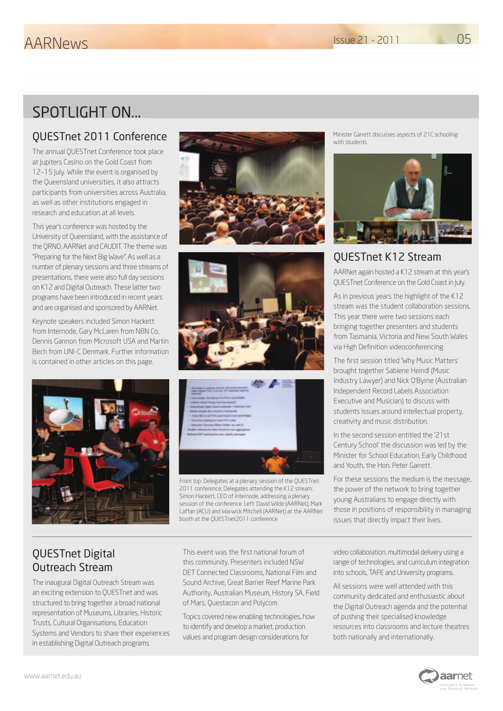# SPOTLIGHT ON...

## QUESTnet 2011 Conference

The annual QUESTnet Conference took place at Jupiters Casino on the Gold Coast from 12–15 July. While the event is organised by the Queensland universities, it also attracts participants from universities across Australia, as well as other institutions engaged in research and education at all levels.

This year's conference was hosted by the University of Queensland, with the assistance of the QRNO, AARNet and CAUDIT. The theme was "Preparing for the Next Big Wave". As well as a number of plenary sessions and three streams of presentations, there were also full day sessions on K12 and Digital Outreach. These latter two programs have been introduced in recent years and are organised and sponsored by AARNet.

Keynote speakers included Simon Hackett from Internode, Gary McLaren from NBN Co, Dennis Gannon from Microsoft USA and Martin Bech from UNI-C Denmark. Further information is contained in other articles on this page.









From top: Delegates at a plenary session of the QUESTnet 2011 conference; Delegates attending the K12 stream; Simon Hackett, CEO of Internode, addressing a plenary session of the conference. Left: David Wilde (AARNet), Mark Laffan (ACU) and Warwick Mitchell (AARNet) at the AARNet booth at the QUESTnet2011 conference

Minister Garrett discusses aspects of 21C schooling with students



## QUESTnet K12 Stream

AARNet again hosted a K12 stream at this year's QUESTnet Conference on the Gold Coast in July.

As in previous years the highlight of the K12 stream was the student collaboration sessions. This year there were two sessions each bringing together presenters and students from Tasmania, Victoria and New South Wales via High Definition videoconferencing.

The first session titled 'Why Music Matters' brought together Sabiene Heindl (Music Industry Lawyer) and Nick O'Byrne (Australian Independent Record Labels Association Executive and Musician) to discuss with students issues around intellectual property, creativity and music distribution.

In the second session entitled the '21st Century School' the discussion was led by the Minister for School Education, Early Childhood and Youth, the Hon. Peter Garrett.

For these sessions the medium is the message, the power of the network to bring together young Australians to engage directly with those in positions of responsibility in managing issues that directly impact their lives.

## QUESTnet Digital Outreach Stream

The inaugural Digital Outreach Stream was an exciting extension to QUESTnet and was structured to bring together a broad national representation of Museums, Libraries, Historic Trusts, Cultural Organisations, Education Systems and Vendors to share their experiences in establishing Digital Outreach programs.

This event was the first national forum of this community. Presenters included NSW DET Connected Classrooms, National Film and Sound Archive, Great Barrier Reef Marine Park Authority, Australian Museum, History SA, Field of Mars, Questacon and Polycom.

Topics covered new enabling technologies, how to identify and develop a market, production values and program design considerations for

video collaboration, multimodal delivery using a range of technologies, and curriculum integration into schools, TAFE and University programs.

All sessions were well attended with this community dedicated and enthusiastic about the Digital Outreach agenda and the potential of pushing their specialised knowledge resources into classrooms and lecture theatres both nationally and internationally.



05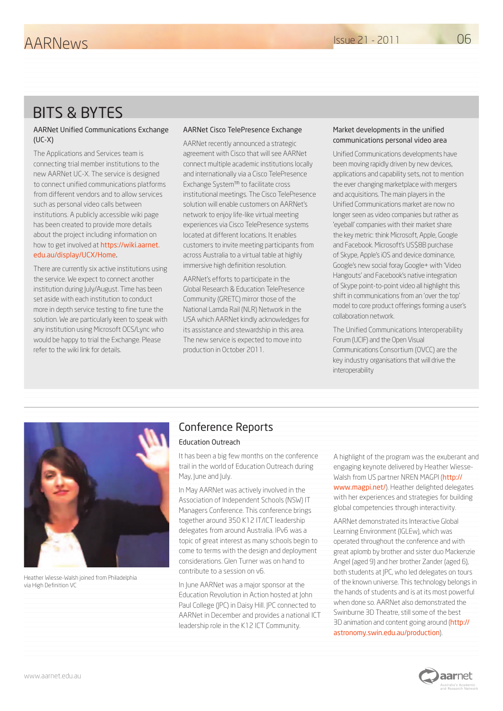# BITS & BYTES

#### AARNet Unified Communications Exchange (UC-X)

The Applications and Services team is connecting trial member institutions to the new AARNet UC-X. The service is designed to connect unified communications platforms from different vendors and to allow services such as personal video calls between institutions. A publicly accessible wiki page has been created to provide more details about the project including information on how to get involved at [https://wiki.aarnet.](https://wiki.aarnet.edu.au/display/UCX/Home) [edu.au/display/UCX/Home](https://wiki.aarnet.edu.au/display/UCX/Home).

There are currently six active institutions using the service. We expect to connect another institution during July/August. Time has been set aside with each institution to conduct more in depth service testing to fine tune the solution. We are particularly keen to speak with any institution using Microsoft OCS/Lync who would be happy to trial the Exchange. Please refer to the wiki link for details.

#### AARNet Cisco TelePresence Exchange

AARNet recently announced a strategic agreement with Cisco that will see AARNet connect multiple academic institutions locally and internationally via a Cisco TelePresence Exchange System™ to facilitate cross institutional meetings. The Cisco TelePresence solution will enable customers on AARNet's network to enjoy life-like virtual meeting experiences via Cisco TelePresence systems located at different locations. It enables customers to invite meeting participants from across Australia to a virtual table at highly immersive high definition resolution.

AARNet's efforts to participate in the Global Research & Education TelePresence Community (GRETC) mirror those of the National Lamda Rail (NLR) Network in the USA which AARNet kindly acknowledges for its assistance and stewardship in this area. The new service is expected to move into production in October 2011.

#### Market developments in the unified communications personal video area

Unified Communications developments have been moving rapidly driven by new devices, applications and capability sets, not to mention the ever changing marketplace with mergers and acquisitions. The main players in the Unified Communications market are now no longer seen as video companies but rather as 'eyeball' companies with their market share the key metric: think Microsoft, Apple, Google and Facebook. Microsoft's US\$8B purchase of Skype, Apple's iOS and device dominance, Google's new social foray Google+ with 'Video Hangouts' and Facebook's native integration of Skype point-to-point video all highlight this shift in communications from an 'over the top' model to core product offerings forming a user's collaboration network.

The Unified Communications Interoperability Forum (UCIF) and the Open Visual Communications Consortium (OVCC) are the key industry organisations that will drive the interoperability



Heather Wiesse-Walsh joined from Philadelphia via High Definition VC

#### Conference Reports

#### Education Outreach

It has been a big few months on the conference trail in the world of Education Outreach during May, June and July.

In May AARNet was actively involved in the Association of Independent Schools (NSW) IT Managers Conference. This conference brings together around 350 K12 IT/ICT leadership delegates from around Australia. IPv6 was a topic of great interest as many schools begin to come to terms with the design and deployment considerations. Glen Turner was on hand to contribute to a session on v6.

In June AARNet was a major sponsor at the Education Revolution in Action hosted at John Paul College (JPC) in Daisy Hill. JPC connected to AARNet in December and provides a national ICT leadership role in the K12 ICT Community.

A highlight of the program was the exuberant and engaging keynote delivered by Heather Wiesse-Walsh from US partner NREN MAGPI ([http://](http://www.magpi.net/) [www.magpi.net/](http://www.magpi.net/)). Heather delighted delegates with her experiences and strategies for building global competencies through interactivity.

AARNet demonstrated its Interactive Global Learning Environment (IGLEw), which was operated throughout the conference and with great aplomb by brother and sister duo Mackenzie Angel (aged 9) and her brother Zander (aged 6), both students at JPC, who led delegates on tours of the known universe. This technology belongs in the hands of students and is at its most powerful when done so. AARNet also demonstrated the Swinburne 3D Theatre, still some of the best 3D animation and content going around ([http://](http://astronomy.swin.edu.au/production) [astronomy.swin.edu.au/production](http://astronomy.swin.edu.au/production)).

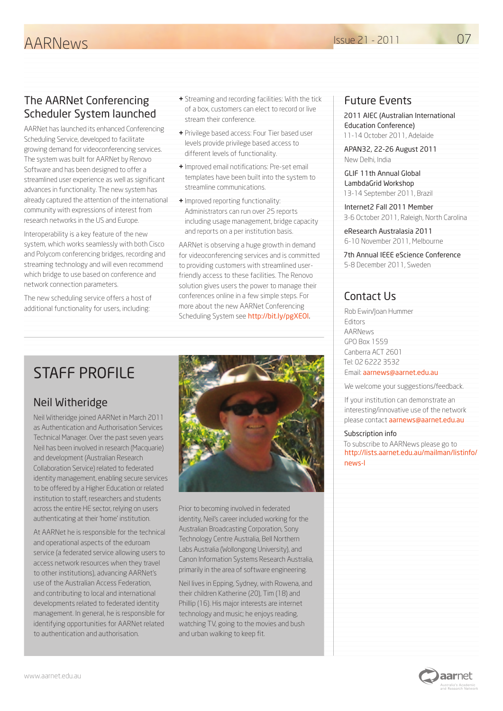#### The AARNet Conferencing Scheduler System launched

AARNet has launched its enhanced Conferencing Scheduling Service, developed to facilitate growing demand for videoconferencing services. The system was built for AARNet by Renovo Software and has been designed to offer a streamlined user experience as well as significant advances in functionality. The new system has already captured the attention of the international community with expressions of interest from research networks in the US and Europe.

Interoperability is a key feature of the new system, which works seamlessly with both Cisco and Polycom conferencing bridges, recording and streaming technology and will even recommend which bridge to use based on conference and network connection parameters.

The new scheduling service offers a host of additional functionality for users, including:

- **+** Streaming and recording facilities: With the tick of a box, customers can elect to record or live stream their conference.
- **+** Privilege based access: Four Tier based user levels provide privilege based access to different levels of functionality.
- **+** Improved email notifications: Pre-set email templates have been built into the system to streamline communications.
- **+** Improved reporting functionality: Administrators can run over 25 reports including usage management, bridge capacity and reports on a per institution basis.

AARNet is observing a huge growth in demand for videoconferencing services and is committed to providing customers with streamlined userfriendly access to these facilities. The Renovo solution gives users the power to manage their conferences online in a few simple steps. For more about the new AARNet Conferencing Scheduling System see [http://bit.ly/pgXEOl.](http://bit.ly/pgXEOl)

# STAFF PROFILE

## Neil Witheridge

Neil Witheridge joined AARNet in March 2011 as Authentication and Authorisation Services Technical Manager. Over the past seven years Neil has been involved in research (Macquarie) and development (Australian Research Collaboration Service) related to federated identity management, enabling secure services to be offered by a Higher Education or related institution to staff, researchers and students across the entire HE sector, relying on users authenticating at their 'home' institution.

At AARNet he is responsible for the technical and operational aspects of the eduroam service (a federated service allowing users to access network resources when they travel to other institutions), advancing AARNet's use of the Australian Access Federation, and contributing to local and international developments related to federated identity management. In general, he is responsible for identifying opportunities for AARNet related to authentication and authorisation.



Prior to becoming involved in federated identity, Neil's career included working for the Australian Broadcasting Corporation, Sony Technology Centre Australia, Bell Northern Labs Australia (Wollongong University), and Canon Information Systems Research Australia, primarily in the area of software engineering.

Neil lives in Epping, Sydney, with Rowena, and their children Katherine (20), Tim (18) and Phillip (16). His major interests are internet technology and music; he enjoys reading, watching TV, going to the movies and bush and urban walking to keep fit.

### Future Events

2011 AIEC (Australian International Education Conference) 11-14 October 2011, Adelaide

APAN32, 22-26 August 2011 New Delhi, India

GLIF 11th Annual Global LambdaGrid Workshop 13-14 September 2011, Brazil

Internet2 Fall 2011 Member 3-6 October 2011, Raleigh, North Carolina

eResearch Australasia 2011 6-10 November 2011, Melbourne

7th Annual IEEE eScience Conference 5-8 December 2011, Sweden

## Contact Us

Rob Ewin/Joan Hummer Editors AARNews GPO Box 1559 Canberra ACT 2601 Tel: 02 6222 3532 Email: [aarnews@aarnet.edu.au](mailto:aarnews@aarnet.edu.au)

We welcome your suggestions/feedback.

If your institution can demonstrate an interesting/innovative use of the network please contact [aarnews@aarnet.edu.au](mailto:aarnews@aarnet.edu.au)

#### Subscription info

To subscribe to AARNews please go to [http://lists.aarnet.edu.au/mailman/listinfo/](http://lists.aarnet.edu.au/mailman/listinfo/news-l) [news-l](http://lists.aarnet.edu.au/mailman/listinfo/news-l)



07